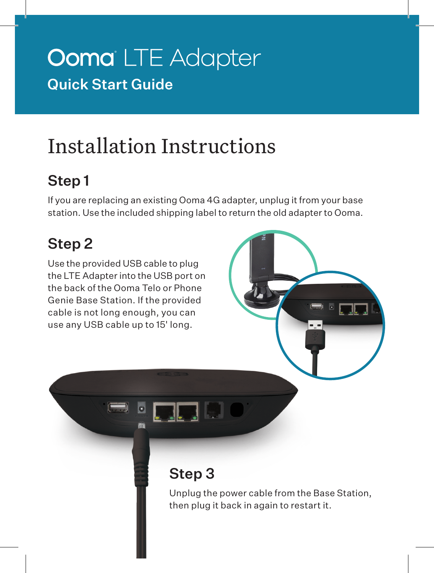## **Ooma** LTE Adapter Quick Start Guide

# Installation Instructions

#### Step 1

If you are replacing an existing Ooma 4G adapter, unplug it from your base station. Use the included shipping label to return the old adapter to Ooma.

#### Step 2

Use the provided USB cable to plug the LTE Adapter into the USB port on the back of the Ooma Telo or Phone Genie Base Station. If the provided cable is not long enough, you can use any USB cable up to 15' long.



### Step 3

Unplug the power cable from the Base Station, then plug it back in again to restart it.